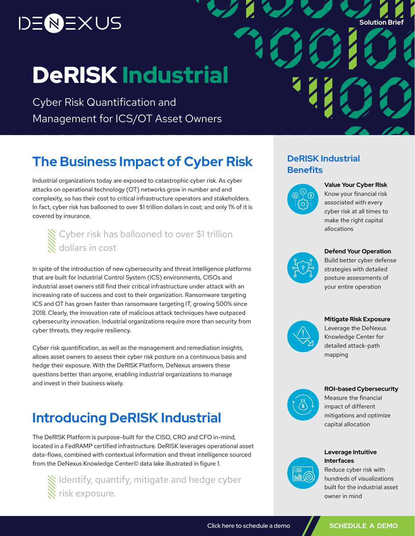# )ENEXUS

**Solution Brief**

# DeRISK Industrial

Cyber Risk Quantification and Management for ICS/OT Asset Owners

# **The Business Impact of Cyber Risk DeRISK Industrial**

Industrial organizations today are exposed to catastrophic cyber risk. As cyber attacks on operational technology (OT) networks grow in number and and complexity, so has their cost to critical infrastructure operators and stakeholders. In fact, cyber risk has ballooned to over \$1 trillion dollars in cost; and only 1% of it is covered by insurance.

# Cyber risk has ballooned to over \$1 trillion dollars in cost

In spite of the introduction of new cybersecurity and threat intelligence platforms that are built for Industrial Control System (ICS) environments, CISOs and industrial asset owners still find their critical infrastructure under attack with an increasing rate of success and cost to their organization. Ransomware targeting ICS and OT has grown faster than ransomware targeting IT, growing 500% since 2018. Clearly, the innovation rate of malicious attack techniques have outpaced cybersecurity innovation. Industrial organizations require more than security from cyber threats, they require resiliency.

Cyber risk quantification, as well as the management and remediation insights, allows asset owners to assess their cyber risk posture on a continuous basis and hedge their exposure. With the DeRISK Platform, DeNexus answers these questions better than anyone, enabling industrial organizations to manage and invest in their business wisely.

# **Introducing DeRISK Industrial**

The DeRISK Platform is purpose-built for the CISO, CRO and CFO in-mind, located in a FedRAMP certified infrastructure. DeRISK leverages operational asset data-flows, combined with contextual information and threat intelligence sourced from the DeNexus Knowledge Center© data lake illustrated in figure 1.

Identify, quantify, mitigate and hedge cyber risk exposure.

# **Benefits**



**Value Your Cyber Risk**  Know your financial risk associated with every cyber risk at all times to make the right capital allocations

#### **Defend Your Operation**

Build better cyber defense strategies with detailed posture assessments of your entire operation



#### **Mitigate Risk Exposure**

Leverage the DeNexus Knowledge Center for detailed attack-path mapping

#### **ROI-based Cybersecurity**



Measure the financial impact of different mitigations and optimize capital allocation



**Interfaces**  Reduce cyber risk with hundreds of visualizations built for the industrial asset owner in mind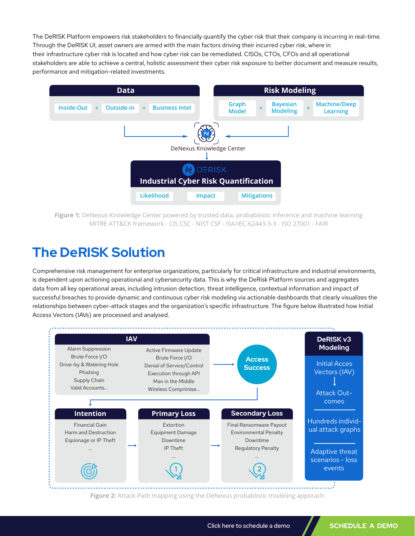The DeRISK Platform empowers risk stakeholders to financially quantify the cyber risk that their company is incurring in real-time. Through the DeRISK UI, asset owners are armed with the main factors driving their incurred cyber risk, where in their infrastructure cyber risk is located and how cyber risk can be remediated. CISOs, CTOs, CFOs and all operational stakeholders are able to achieve a central, holistic assessment their cyber risk exposure to better document and measure results, performance and mitigation-related investments.



Figure 1: DeNexus Knowledge Center powered by trusted data, probabilistic inference and machine learning MITRE ATT&CK framework - CIS CSC - NIST CSF - ISA/IEC-62443-3-3 - ISO 27001 - FAIR

# **The DeRISK Solution**

Comprehensive risk management for enterprise organizations, particularly for critical infrastructure and industrial environments, is dependent upon actioning operational and cybersecurity data. This is why the DeRisk Platform sources and aggregates data from all key operational areas, including intrusion detection, threat intelligence, contextual information and impact of successful breaches to provide dynamic and continuous cyber risk modeling via actionable dashboards that clearly visualizes the relationships between cyber-attack stages and the organization's specific infrastructure. The figure below illustrated how Initial Access Vectors (IAVs) are processed and analysed.



**Figure 2:** Attack-Path mapping using the DeNexus probablistic modeling apporach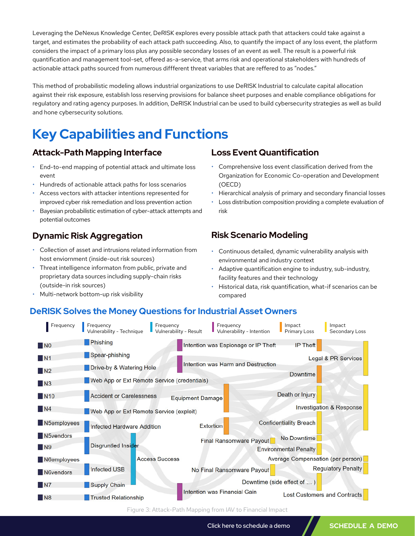Leveraging the DeNexus Knowledge Center, DeRISK explores every possible attack path that attackers could take against a target, and estimates the probability of each attack path succeeding. Also, to quantify the impact of any loss event, the platform considers the impact of a primary loss plus any possible secondary losses of an event as well. The result is a powerful risk quantification and management tool-set, offered as-a-service, that arms risk and operational stakeholders with hundreds of actionable attack paths sourced from numerous diffferent threat variables that are reffered to as "nodes."

This method of probabilistic modeling allows industrial organizations to use DeRISK Industrial to calculate capital allocation against their risk exposure, establish loss reserving provisions for balance sheet purposes and enable compliance obligations for regulatory and rating agency purposes. In addition, DeRISK Industrial can be used to build cybersecurity strategies as well as build and hone cybersecurity solutions.

# **Key Capabilities and Functions**

### **Attack-Path Mapping Interface**

- End-to-end mapping of potential attack and ultimate loss event
- Hundreds of actionable attack paths for loss scenarios
- Access vectors with attacker intentions represented for improved cyber risk remediation and loss prevention action
- Bayesian probabilistic estimation of cyber-attack attempts and potential outcomes

## **Dynamic Risk Aggregation**

- Collection of asset and intrusions related information from host enviornment (inside-out risk sources)
- Threat intelligence informaton from public, private and proprietary data sources including supply-chain risks (outside-in risk sources)
- Multi-network bottom-up risk visibility

#### **Loss Event Quantification**

- Comprehensive loss event classification derived from the Organization for Economic Co-operation and Development (OECD)
- Hierarchical analysis of primary and secondary financial losses
- Loss distribution composition providing a complete evaluation of risk

## **Risk Scenario Modeling**

- Continuous detailed, dynamic vulnerability analysis with environmental and industry context
- Adaptive quantification engine to industry, sub-industry, facility features and their technology
- Historical data, risk quantification, what-if scenarios can be compared

### **DeRISK Solves the Money Questions for Industrial Asset Owners**



Figure 3: Attack-Path Mapping from IAV to Financial Impact